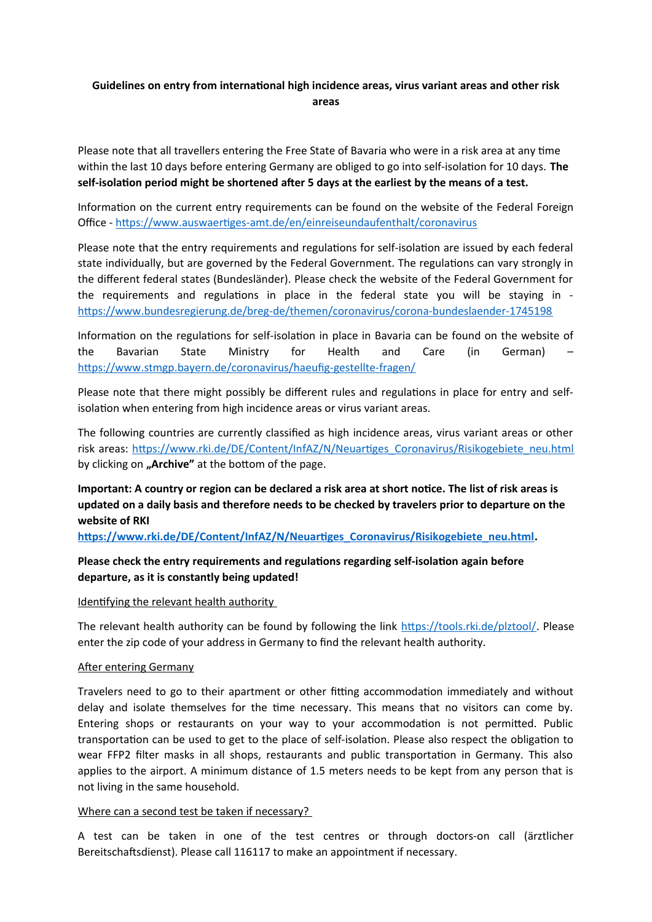# **Guidelines on entry from international high incidence areas, virus variant areas and other risk areas**

Please note that all travellers entering the Free State of Bavaria who were in a risk area at any time within the last 10 days before entering Germany are obliged to go into self-isolation for 10 days. **The self-isolation period might be shortened after 5 days at the earliest by the means of a test.** 

Information on the current entry requirements can be found on the website of the Federal Foreign Office -<https://www.auswaertiges-amt.de/en/einreiseundaufenthalt/coronavirus>

Please note that the entry requirements and regulations for self-isolation are issued by each federal state individually, but are governed by the Federal Government. The regulations can vary strongly in the different federal states (Bundesländer). Please check the website of the Federal Government for the requirements and regulations in place in the federal state you will be staying in <https://www.bundesregierung.de/breg-de/themen/coronavirus/corona-bundeslaender-1745198>

Information on the regulations for self-isolation in place in Bavaria can be found on the website of the Bavarian State Ministry for Health and Care (in German) – <https://www.stmgp.bayern.de/coronavirus/haeufig-gestellte-fragen/>

Please note that there might possibly be different rules and regulations in place for entry and selfisolation when entering from high incidence areas or virus variant areas.

The following countries are currently classified as high incidence areas, virus variant areas or other risk areas: [https://www.rki.de/DE/Content/InfAZ/N/Neuartiges\\_Coronavirus/Risikogebiete\\_neu.html](https://www.rki.de/DE/Content/InfAZ/N/Neuartiges_Coronavirus/Risikogebiete_neu.html) by clicking on "Archive" at the bottom of the page.

**Important: A country or region can be declared a risk area at short notice. The list of risk areas is updated on a daily basis and therefore needs to be checked by travelers prior to departure on the website of RKI** 

**[https://www.rki.de/DE/Content/InfAZ/N/Neuartiges\\_Coronavirus/Risikogebiete\\_neu.html](https://www.rki.de/DE/Content/InfAZ/N/Neuartiges_Coronavirus/Risikogebiete_neu.html).**

## **Please check the entry requirements and regulations regarding self-isolation again before departure, as it is constantly being updated!**

## Identifying the relevant health authority

The relevant health authority can be found by following the link [https://tools.rki.de/plztool/.](https://tools.rki.de/plztool/) Please enter the zip code of your address in Germany to find the relevant health authority.

### After entering Germany

Travelers need to go to their apartment or other fitting accommodation immediately and without delay and isolate themselves for the time necessary. This means that no visitors can come by. Entering shops or restaurants on your way to your accommodation is not permitted. Public transportation can be used to get to the place of self-isolation. Please also respect the obligation to wear FFP2 filter masks in all shops, restaurants and public transportation in Germany. This also applies to the airport. A minimum distance of 1.5 meters needs to be kept from any person that is not living in the same household.

#### Where can a second test be taken if necessary?

A test can be taken in one of the test centres or through doctors-on call (ärztlicher Bereitschaftsdienst). Please call 116117 to make an appointment if necessary.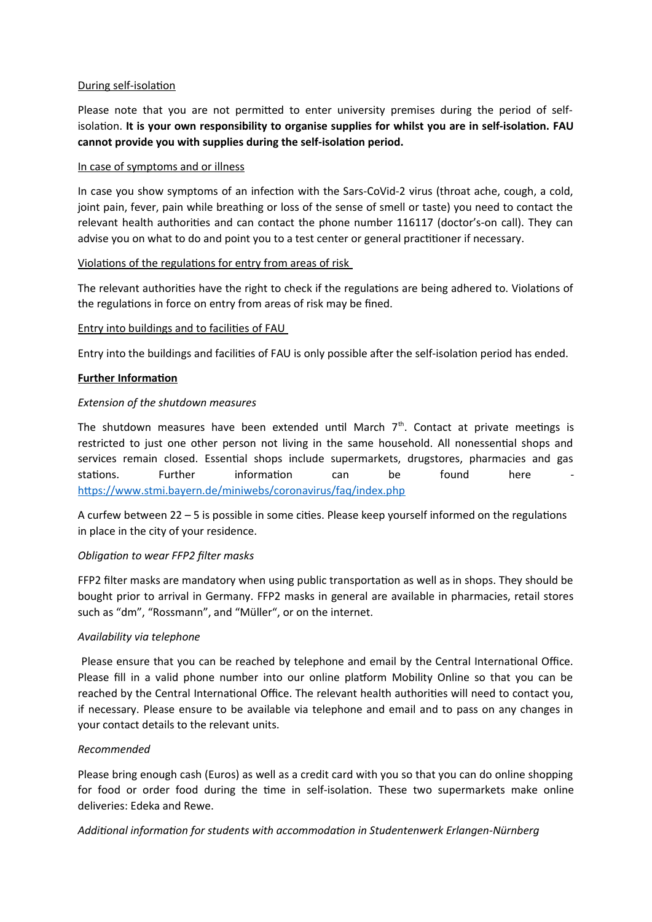## During self-isolation

Please note that you are not permitted to enter university premises during the period of selfisolation. **It is your own responsibility to organise supplies for whilst you are in self-isolation. FAU cannot provide you with supplies during the self-isolation period.**

## In case of symptoms and or illness

In case you show symptoms of an infection with the Sars-CoVid-2 virus (throat ache, cough, a cold, joint pain, fever, pain while breathing or loss of the sense of smell or taste) you need to contact the relevant health authorities and can contact the phone number 116117 (doctor's-on call). They can advise you on what to do and point you to a test center or general practitioner if necessary.

### Violations of the regulations for entry from areas of risk

The relevant authorities have the right to check if the regulations are being adhered to. Violations of the regulations in force on entry from areas of risk may be fined.

### Entry into buildings and to facilities of FAU

Entry into the buildings and facilities of FAU is only possible after the self-isolation period has ended.

## **Further Information**

### *Extension of the shutdown measures*

The shutdown measures have been extended until March  $7<sup>th</sup>$ . Contact at private meetings is restricted to just one other person not living in the same household. All nonessential shops and services remain closed. Essential shops include supermarkets, drugstores, pharmacies and gas stations. Further information can be found here <https://www.stmi.bayern.de/miniwebs/coronavirus/faq/index.php>

A curfew between 22 – 5 is possible in some cities. Please keep yourself informed on the regulations in place in the city of your residence.

## *Obligation to wear FFP2 filter masks*

FFP2 filter masks are mandatory when using public transportation as well as in shops. They should be bought prior to arrival in Germany. FFP2 masks in general are available in pharmacies, retail stores such as "dm", "Rossmann", and "Müller", or on the internet.

## *Availability via telephone*

Please ensure that you can be reached by telephone and email by the Central International Office. Please fill in a valid phone number into our online platform Mobility Online so that you can be reached by the Central International Office. The relevant health authorities will need to contact you, if necessary. Please ensure to be available via telephone and email and to pass on any changes in your contact details to the relevant units.

## *Recommended*

Please bring enough cash (Euros) as well as a credit card with you so that you can do online shopping for food or order food during the time in self-isolation. These two supermarkets make online deliveries: Edeka and Rewe.

## *Additional information for students with accommodation in Studentenwerk Erlangen-Nürnberg*